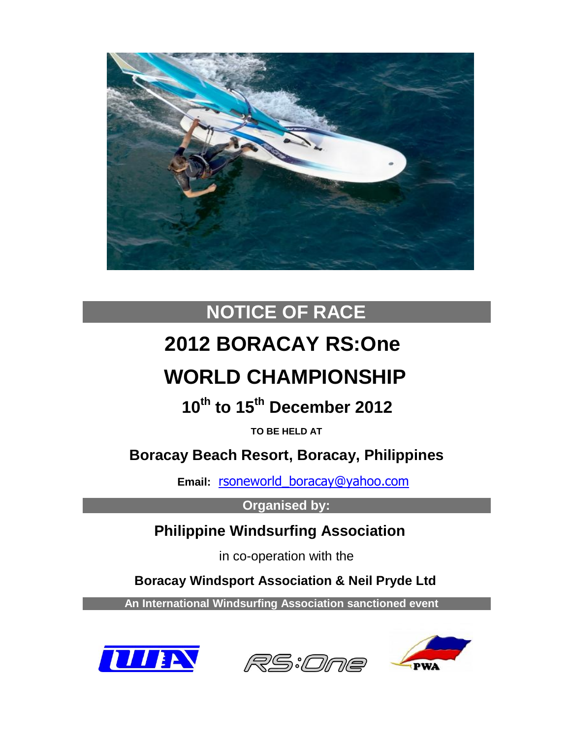

# **NOTICE OF RACE**

# **2012 BORACAY RS:One**

# **WORLD CHAMPIONSHIP**

 **10th to 15th December 2012**

**TO BE HELD AT**

 **Boracay Beach Resort, Boracay, Philippines**

 **Email:** [rsoneworld\\_boracay@yahoo.com](mailto:rsoneworld_boracay@yahoo.com)

**Organised by:**

 **Philippine Windsurfing Association**

in co-operation with the

 **Boracay Windsport Association & Neil Pryde Ltd**

 **An International Windsurfing Association sanctioned event**





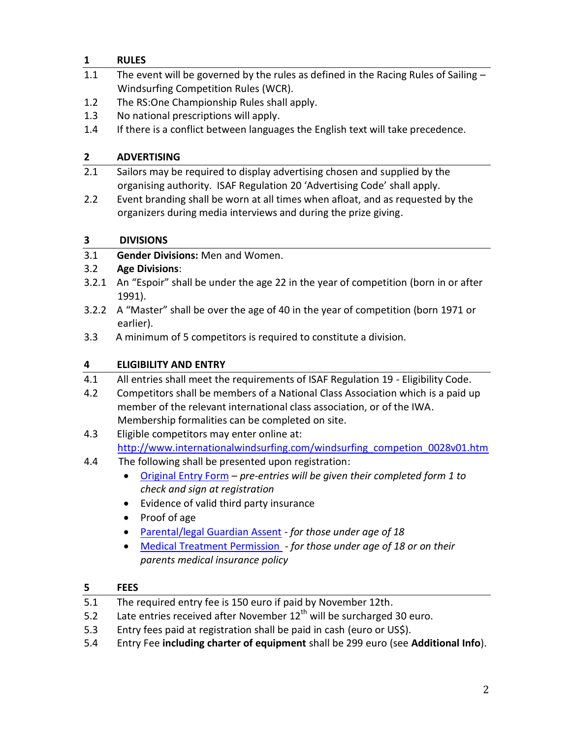# **1 RULES**

- 1.1 The event will be governed by the rules as defined in the Racing Rules of Sailing -Windsurfing Competition Rules (WCR).
- 1.2 The RS:One Championship Rules shall apply.
- 1.3 No national prescriptions will apply.
- 1.4 If there is a conflict between languages the English text will take precedence.

# **2 ADVERTISING**

- 2.1 Sailors may be required to display advertising chosen and supplied by the organising authority. ISAF Regulation 20 'Advertising Code' shall apply.
- 2.2 Event branding shall be worn at all times when afloat, and as requested by the organizers during media interviews and during the prize giving.

# **3 DIVISIONS**

3.1 **Gender Divisions:** Men and Women.

# 3.2 **Age Divisions**:

- 3.2.1 An "Espoir" shall be under the age 22 in the year of competition (born in or after 1991).
- 3.2.2 A "Master" shall be over the age of 40 in the year of competition (born 1971 or earlier).
- 3.3 A minimum of 5 competitors is required to constitute a division.

# **4 ELIGIBILITY AND ENTRY**

- 4.1 All entries shall meet the requirements of ISAF Regulation 19 Eligibility Code.
- 4.2 Competitors shall be members of a National Class Association which is a paid up member of the relevant international class association, or of the IWA. Membership formalities can be completed on site.
- 4.3 Eligible competitors may enter online at: [http://www.internationalwindsurfing.com/windsurfing\\_competion\\_0028v01.htm](http://www.internationalwindsurfing.com/windsurfing_competion_0028v01.htm)
- 4.4 The following shall be presented upon registration:
	- [Original Entry Form](http://www.internationalwindsurfing.com/userfiles/documents/RS1_Worlds_Boracay_2012_Form_1.pdf) *pre-entries will be given their completed form 1 to check and sign at registration*
	- Evidence of valid third party insurance
	- Proof of age
	- [Parental/legal Guardian Assent](http://www.internationalwindsurfing.com/userfiles/documents/RS1_Worlds_Boracay_2012_Form_2.pdf) *for those under age of 18*
	- [Medical Treatment Permission](http://www.internationalwindsurfing.com/userfiles/documents/RS1_Worlds_Boracay_2012_Form_3.pdf) *- for those under age of 18 or on their parents medical insurance policy*

# **5 FEES**

- 5.1 The required entry fee is 150 euro if paid by November 12th.
- 5.2 Late entries received after November  $12<sup>th</sup>$  will be surcharged 30 euro.
- 5.3 Entry fees paid at registration shall be paid in cash (euro or US\$).
- 5.4 Entry Fee **including charter of equipment** shall be 299 euro (see **Additional Info**).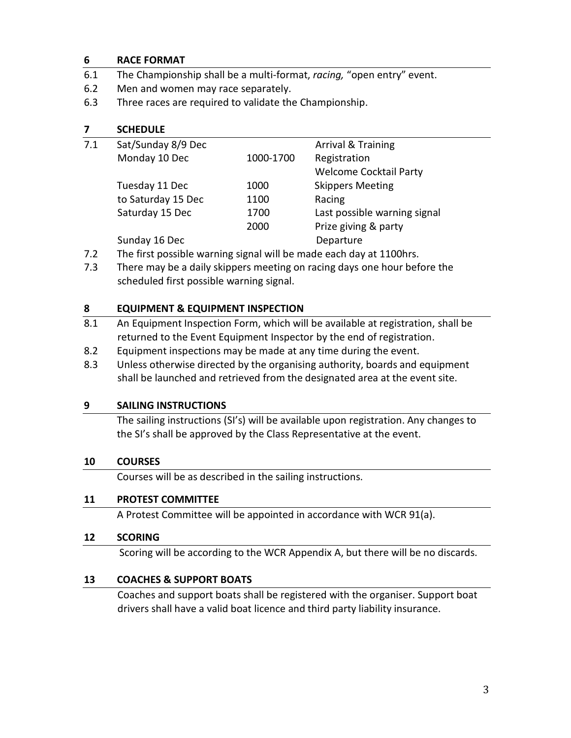#### **6 RACE FORMAT**

- 6.1 The Championship shall be a multi-format, *racing,* "open entry" event.
- 6.2 Men and women may race separately.
- 6.3 Three races are required to validate the Championship.

| 7.1 | Sat/Sunday 8/9 Dec |           | Arrival & Training            |
|-----|--------------------|-----------|-------------------------------|
|     | Monday 10 Dec      | 1000-1700 | Registration                  |
|     |                    |           | <b>Welcome Cocktail Party</b> |
|     | Tuesday 11 Dec     | 1000      | <b>Skippers Meeting</b>       |
|     | to Saturday 15 Dec | 1100      | Racing                        |
|     | Saturday 15 Dec    | 1700      | Last possible warning signal  |
|     |                    | 2000      | Prize giving & party          |
|     | Sunday 16 Dec      |           | Departure                     |
|     |                    |           |                               |

7.2 The first possible warning signal will be made each day at 1100hrs.

7.3 There may be a daily skippers meeting on racing days one hour before the scheduled first possible warning signal.

### **8 EQUIPMENT & EQUIPMENT INSPECTION**

- 8.1 An Equipment Inspection Form, which will be available at registration, shall be returned to the Event Equipment Inspector by the end of registration.
- 8.2 Equipment inspections may be made at any time during the event.
- 8.3 Unless otherwise directed by the organising authority, boards and equipment shall be launched and retrieved from the designated area at the event site.

#### **9 SAILING INSTRUCTIONS**

The sailing instructions (SI's) will be available upon registration. Any changes to the SI's shall be approved by the Class Representative at the event.

#### **10 COURSES**

Courses will be as described in the sailing instructions.

# **11 PROTEST COMMITTEE**

A Protest Committee will be appointed in accordance with WCR 91(a).

#### **12 SCORING**

Scoring will be according to the WCR Appendix A, but there will be no discards.

# **13 COACHES & SUPPORT BOATS**

Coaches and support boats shall be registered with the organiser. Support boat drivers shall have a valid boat licence and third party liability insurance.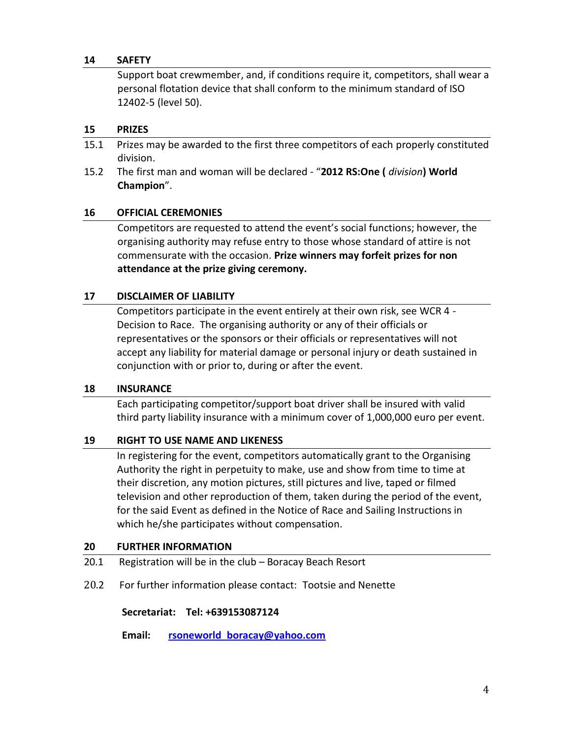#### **14 SAFETY**

Support boat crewmember, and, if conditions require it, competitors, shall wear a personal flotation device that shall conform to the minimum standard of ISO 12402-5 (level 50).

#### **15 PRIZES**

- 15.1 Prizes may be awarded to the first three competitors of each properly constituted division.
- 15.2 The first man and woman will be declared "**2012 RS:One (** *division***) World Champion**".

#### **16 OFFICIAL CEREMONIES**

Competitors are requested to attend the event's social functions; however, the organising authority may refuse entry to those whose standard of attire is not commensurate with the occasion. **Prize winners may forfeit prizes for non attendance at the prize giving ceremony.**

#### **17 DISCLAIMER OF LIABILITY**

Competitors participate in the event entirely at their own risk, see WCR 4 - Decision to Race. The organising authority or any of their officials or representatives or the sponsors or their officials or representatives will not accept any liability for material damage or personal injury or death sustained in conjunction with or prior to, during or after the event.

#### **18 INSURANCE**

Each participating competitor/support boat driver shall be insured with valid third party liability insurance with a minimum cover of 1,000,000 euro per event.

#### **19 RIGHT TO USE NAME AND LIKENESS**

In registering for the event, competitors automatically grant to the Organising Authority the right in perpetuity to make, use and show from time to time at their discretion, any motion pictures, still pictures and live, taped or filmed television and other reproduction of them, taken during the period of the event, for the said Event as defined in the Notice of Race and Sailing Instructions in which he/she participates without compensation.

#### **20 FURTHER INFORMATION**

- 20.1 Registration will be in the club Boracay Beach Resort
- 20.2 For further information please contact: Tootsie and Nenette

#### **Secretariat: Tel: +639153087124**

 **Email: [rsoneworld\\_boracay@yahoo.com](mailto:rsoneworld_boracay@yahoo.com)**